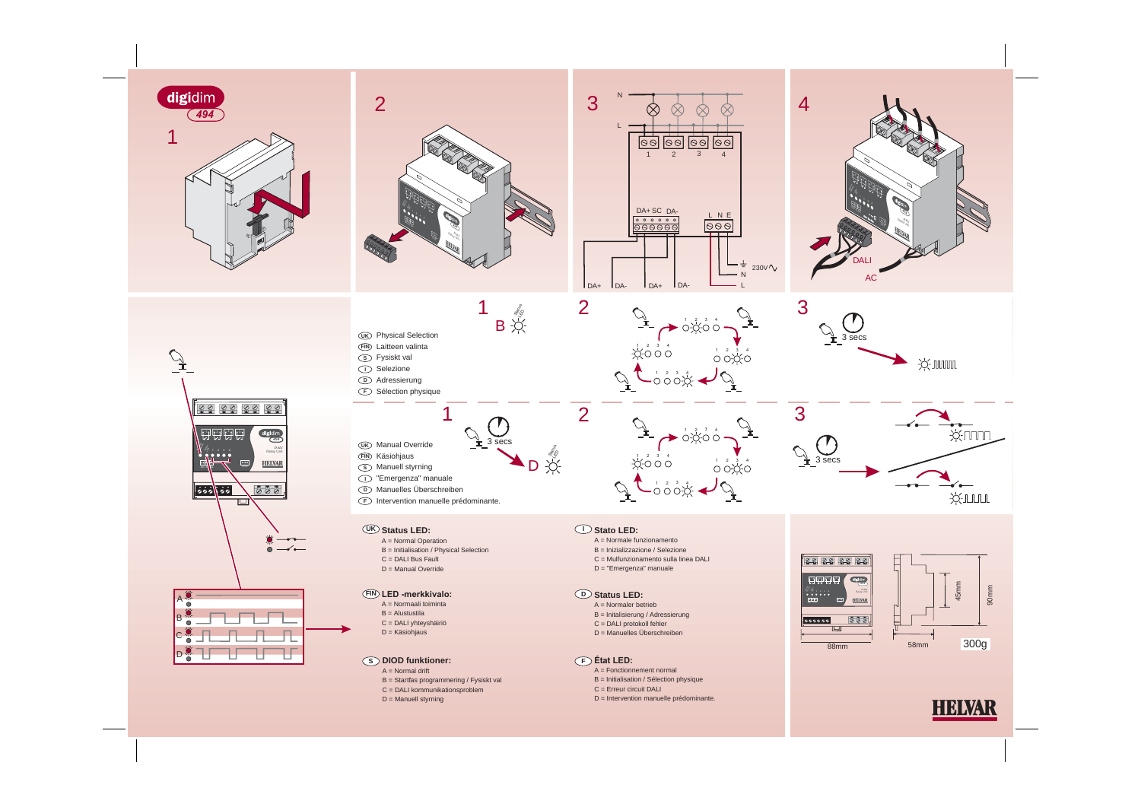

HELVAR